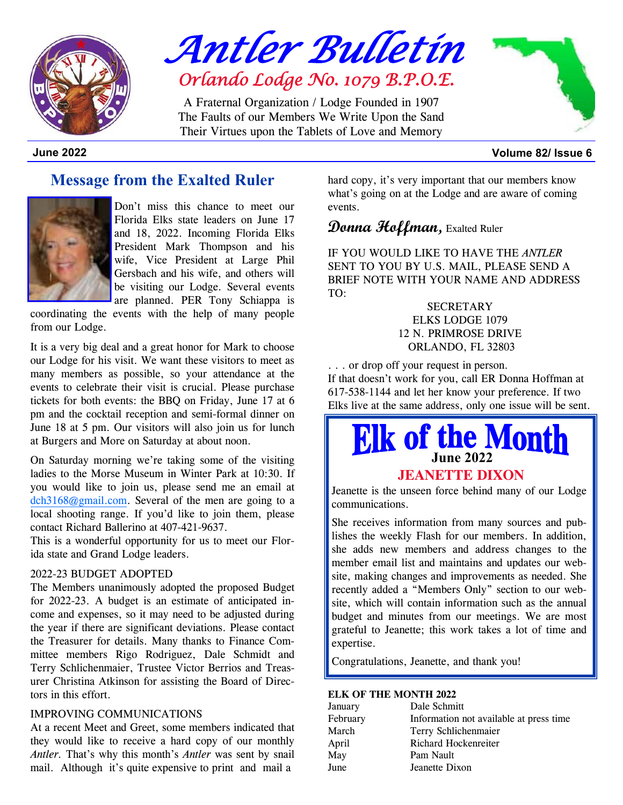

*Antler Bulletin* *Orlando Lodge No. 1079 B.P.O.E.* 

A Fraternal Organization / Lodge Founded in 1907The Faults of our Members We Write Upon the Sand Their Virtues upon the Tablets of Love and Memory



**June 2022 Volume 82/ Issue 6** 

# **Message from the Exalted Ruler**



Don't miss this chance to meet our Florida Elks state leaders on June 17 and 18, 2022. Incoming Florida Elks President Mark Thompson and his wife, Vice President at Large Phil Gersbach and his wife, and others will be visiting our Lodge. Several events are planned. PER Tony Schiappa is

coordinating the events with the help of many people from our Lodge.

It is a very big deal and a great honor for Mark to choose our Lodge for his visit. We want these visitors to meet as many members as possible, so your attendance at the events to celebrate their visit is crucial. Please purchase tickets for both events: the BBQ on Friday, June 17 at 6 pm and the cocktail reception and semi-formal dinner on June 18 at 5 pm. Our visitors will also join us for lunch at Burgers and More on Saturday at about noon.

On Saturday morning we're taking some of the visiting ladies to the Morse Museum in Winter Park at 10:30. If you would like to join us, please send me an email at dch3168@gmail.com. Several of the men are going to a local shooting range. If you'd like to join them, please contact Richard Ballerino at 407-421-9637.

This is a wonderful opportunity for us to meet our Florida state and Grand Lodge leaders.

#### 2022-23 BUDGET ADOPTED

The Members unanimously adopted the proposed Budget for 2022-23. A budget is an estimate of anticipated income and expenses, so it may need to be adjusted during the year if there are significant deviations. Please contact the Treasurer for details. Many thanks to Finance Committee members Rigo Rodriguez, Dale Schmidt and Terry Schlichenmaier, Trustee Victor Berrios and Treasurer Christina Atkinson for assisting the Board of Directors in this effort.

#### IMPROVING COMMUNICATIONS

At a recent Meet and Greet, some members indicated that they would like to receive a hard copy of our monthly *Antler.* That's why this month's *Antler* was sent by snail mail. Although it's quite expensive to print and mail a

hard copy, it's very important that our members know what's going on at the Lodge and are aware of coming events.

## **Donna Hoffman,** Exalted Ruler

IF YOU WOULD LIKE TO HAVE THE *ANTLER* SENT TO YOU BY U.S. MAIL, PLEASE SEND A BRIEF NOTE WITH YOUR NAME AND ADDRESS TO:

> **SECRETARY** ELKS LODGE 1079 12 N. PRIMROSE DRIVE ORLANDO, FL 32803

. . . or drop off your request in person. If that doesn't work for you, call ER Donna Hoffman at 617-538-1144 and let her know your preference. If two Elks live at the same address, only one issue will be sent.

# **June 2022**

#### **JEANETTE DIXON**

Jeanette is the unseen force behind many of our Lodge communications.

She receives information from many sources and publishes the weekly Flash for our members. In addition, she adds new members and address changes to the member email list and maintains and updates our website, making changes and improvements as needed. She recently added a "Members Only" section to our website, which will contain information such as the annual budget and minutes from our meetings. We are most grateful to Jeanette; this work takes a lot of time and expertise.

Congratulations, Jeanette, and thank you!

#### **ELK OF THE MONTH 2022**

| January  | Dale Schmitt                            |
|----------|-----------------------------------------|
| February | Information not available at press time |
| March    | Terry Schlichenmaier                    |
| April    | Richard Hockenreiter                    |
| May      | Pam Nault                               |
| June     | Jeanette Dixon                          |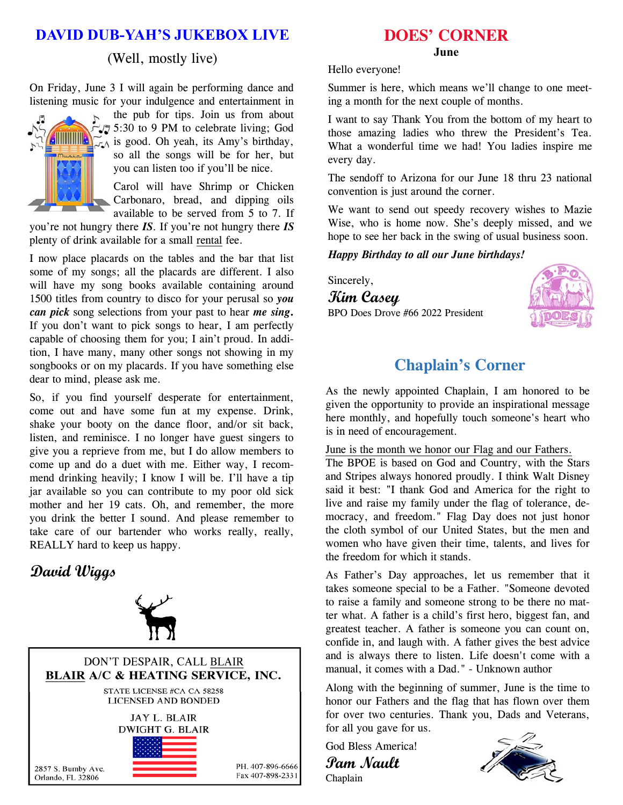# **DAVID DUB-YAH'S JUKEBOX LIVE**

#### (Well, mostly live)

On Friday, June 3 I will again be performing dance and listening music for your indulgence and entertainment in



the pub for tips. Join us from about  $\sqrt{5}$  5:30 to 9 PM to celebrate living; God  $\mathbb{Z}$  is good. Oh yeah, its Amy's birthday, so all the songs will be for her, but you can listen too if you'll be nice.

Carol will have Shrimp or Chicken Carbonaro, bread, and dipping oils available to be served from 5 to 7. If

you're not hungry there *IS*. If you're not hungry there *IS* plenty of drink available for a small rental fee.

I now place placards on the tables and the bar that list some of my songs; all the placards are different. I also will have my song books available containing around 1500 titles from country to disco for your perusal so *you can pick* song selections from your past to hear *me sing***.**  If you don't want to pick songs to hear, I am perfectly capable of choosing them for you; I ain't proud. In addition, I have many, many other songs not showing in my songbooks or on my placards. If you have something else dear to mind, please ask me.

So, if you find yourself desperate for entertainment, come out and have some fun at my expense. Drink, shake your booty on the dance floor, and/or sit back, listen, and reminisce. I no longer have guest singers to give you a reprieve from me, but I do allow members to come up and do a duet with me. Either way, I recommend drinking heavily; I know I will be. I'll have a tip jar available so you can contribute to my poor old sick mother and her 19 cats. Oh, and remember, the more you drink the better I sound. And please remember to take care of our bartender who works really, really, REALLY hard to keep us happy.

# **David Wiggs**





### **DOES' CORNER**

#### **June**

Hello everyone!

Summer is here, which means we'll change to one meeting a month for the next couple of months.

I want to say Thank You from the bottom of my heart to those amazing ladies who threw the President's Tea. What a wonderful time we had! You ladies inspire me every day.

The sendoff to Arizona for our June 18 thru 23 national convention is just around the corner.

We want to send out speedy recovery wishes to Mazie Wise, who is home now. She's deeply missed, and we hope to see her back in the swing of usual business soon.

*Happy Birthday to all our June birthdays!* 

Sincerely,

**Kim Casey**  BPO Does Drove #66 2022 President



# **Chaplain's Corner**

As the newly appointed Chaplain, I am honored to be given the opportunity to provide an inspirational message here monthly, and hopefully touch someone's heart who is in need of encouragement.

June is the month we honor our Flag and our Fathers.

The BPOE is based on God and Country, with the Stars and Stripes always honored proudly. I think Walt Disney said it best: "I thank God and America for the right to live and raise my family under the flag of tolerance, democracy, and freedom." Flag Day does not just honor the cloth symbol of our United States, but the men and women who have given their time, talents, and lives for the freedom for which it stands.

As Father's Day approaches, let us remember that it takes someone special to be a Father. "Someone devoted to raise a family and someone strong to be there no matter what. A father is a child's first hero, biggest fan, and greatest teacher. A father is someone you can count on, confide in, and laugh with. A father gives the best advice and is always there to listen. Life doesn't come with a manual, it comes with a Dad." - Unknown author

Along with the beginning of summer, June is the time to honor our Fathers and the flag that has flown over them for over two centuries. Thank you, Dads and Veterans, for all you gave for us.

God Bless America! **Pam Nault**  Chaplain

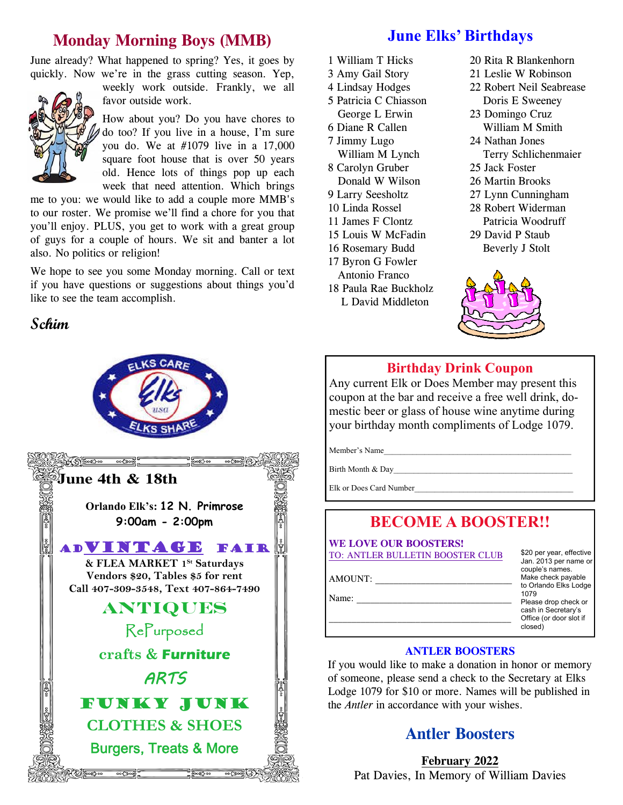# **Monday Morning Boys (MMB)**

June already? What happened to spring? Yes, it goes by quickly. Now we're in the grass cutting season. Yep,



weekly work outside. Frankly, we all favor outside work.

How about you? Do you have chores to do too? If you live in a house, I'm sure you do. We at #1079 live in a 17,000 square foot house that is over 50 years old. Hence lots of things pop up each week that need attention. Which brings

me to you: we would like to add a couple more MMB's to our roster. We promise we'll find a chore for you that you'll enjoy. PLUS, you get to work with a great group of guys for a couple of hours. We sit and banter a lot also. No politics or religion!

We hope to see you some Monday morning. Call or text if you have questions or suggestions about things you'd like to see the team accomplish.

# **Schim**



**June Elks' Birthdays** 

- 1 William T Hicks
- 3 Amy Gail Story
- 4 Lindsay Hodges
- 5 Patricia C Chiasson George L Erwin
- 6 Diane R Callen
- 7 Jimmy Lugo
- William M Lynch 8 Carolyn Gruber
- Donald W Wilson
- 9 Larry Seesholtz
- 10 Linda Rossel
- 11 James F Clontz
- 15 Louis W McFadin
- 16 Rosemary Budd
- 17 Byron G Fowler
- Antonio Franco
- 18 Paula Rae Buckholz L David Middleton
- 20 Rita R Blankenhorn
- 21 Leslie W Robinson
- 22 Robert Neil Seabrease Doris E Sweeney
- 23 Domingo Cruz
- William M Smith 24 Nathan Jones Terry Schlichenmaier
- 25 Jack Foster
- 26 Martin Brooks
- 27 Lynn Cunningham
- 28 Robert Widerman Patricia Woodruff
- 29 David P Staub Beverly J Stolt



## **Birthday Drink Coupon**

Any current Elk or Does Member may present this coupon at the bar and receive a free well drink, domestic beer or glass of house wine anytime during your birthday month compliments of Lodge 1079.

Member's Name

Birth Month & Day

Elk or Does Card Number

# **BECOME A BOOSTER!!**

**WE LOVE OUR BOOSTERS!** TO: ANTLER BULLETIN BOOSTER CLUB

| AMOUNT: |  |  |  |
|---------|--|--|--|
| Name:   |  |  |  |

\$20 per year, effective Jan. 2013 per name or couple's names. Make check payable to Orlando Elks Lodge 1079 Please drop check or cash in Secretary's Office (or door slot if closed)

#### **ANTLER BOOSTERS**

If you would like to make a donation in honor or memory of someone, please send a check to the Secretary at Elks Lodge 1079 for \$10 or more. Names will be published in the *Antler* in accordance with your wishes.

# **Antler Boosters**

**February 2022** Pat Davies, In Memory of William Davies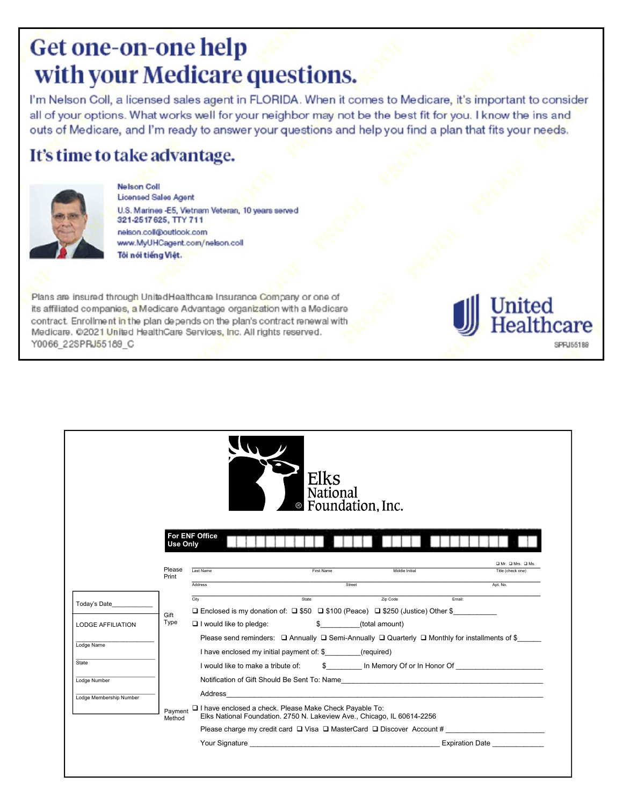# Get one-on-one help with your Medicare questions.

I'm Nelson Coll, a licensed sales agent in FLORIDA. When it comes to Medicare, it's important to consider all of your options. What works well for your neighbor may not be the best fit for you. I know the ins and outs of Medicare, and I'm ready to answer your questions and help you find a plan that fits your needs.

United

**Ithcare** 

SPRJ55189

# It's time to take advantage.



**Nelson Coll** Licensed Sales Agent U.S. Marines -E5, Vietnam Veteran, 10 years served 321-2517 625, TTY 711 nelson.coll@outlook.com www.MyUHCagent.com/nelson.coll Tôi nói tiếng Việt.

Plans are insured through UnitedHealthcare Insurance Company or one of its affiliated companies, a Medicare Advantage organization with a Medicare contract. Enrollment in the plan depends on the plan's contract renewal with Medicare. @2021 United HealthCare Services, Inc. All rights reserved. Y0066\_22SPRJ55189\_C

|                                                                                                                                       |                   |                                    |                                                          | Elks<br>National<br>Eoundation, Inc.                                                                                                                                                                                                 |                                                                                                                    |
|---------------------------------------------------------------------------------------------------------------------------------------|-------------------|------------------------------------|----------------------------------------------------------|--------------------------------------------------------------------------------------------------------------------------------------------------------------------------------------------------------------------------------------|--------------------------------------------------------------------------------------------------------------------|
|                                                                                                                                       | <b>Use Only</b>   | <b>For ENF Office</b>              |                                                          |                                                                                                                                                                                                                                      |                                                                                                                    |
|                                                                                                                                       | Please<br>Print   | Last Name                          | First Name                                               | Middle Initial                                                                                                                                                                                                                       | O Mr. O Mrs. O Ms.<br>Title (check one)                                                                            |
|                                                                                                                                       |                   | Address                            |                                                          | Street                                                                                                                                                                                                                               | Apt. No.                                                                                                           |
| Today's Date                                                                                                                          |                   | City                               | State                                                    | Zip Code                                                                                                                                                                                                                             | Fmail:                                                                                                             |
|                                                                                                                                       | Gift              |                                    |                                                          | <b>□</b> Enclosed is my donation of: □ \$50 □ \$100 (Peace) □ \$250 (Justice) Other \$                                                                                                                                               |                                                                                                                    |
| <b>LODGE AFFILIATION</b>                                                                                                              | Type              | $\Box$ I would like to pledge:     |                                                          | \$ (total amount)                                                                                                                                                                                                                    |                                                                                                                    |
| Lodge Name                                                                                                                            |                   |                                    |                                                          |                                                                                                                                                                                                                                      | Please send reminders: $\Box$ Annually $\Box$ Semi-Annually $\Box$ Quarterly $\Box$ Monthly for installments of \$ |
|                                                                                                                                       |                   |                                    | I have enclosed my initial payment of: \$ (required)     |                                                                                                                                                                                                                                      |                                                                                                                    |
| State                                                                                                                                 |                   | I would like to make a tribute of: |                                                          |                                                                                                                                                                                                                                      | \$ In Memory Of or In Honor Of                                                                                     |
| Lodge Number                                                                                                                          |                   |                                    |                                                          |                                                                                                                                                                                                                                      | Notification of Gift Should Be Sent To: Name                                                                       |
| Address<br>the contract of the contract of the contract of the contract of the contract of the contract of<br>Lodge Membership Number |                   |                                    |                                                          |                                                                                                                                                                                                                                      |                                                                                                                    |
|                                                                                                                                       | Payment<br>Method |                                    | □ I have enclosed a check. Please Make Check Payable To: | Elks National Foundation. 2750 N. Lakeview Ave., Chicago, IL 60614-2256                                                                                                                                                              |                                                                                                                    |
|                                                                                                                                       |                   |                                    |                                                          |                                                                                                                                                                                                                                      | Please charge my credit card □ Visa □ MasterCard □ Discover Account # _____________________________                |
|                                                                                                                                       |                   |                                    |                                                          | <b>The Vour Signature Contract Contract Contract Contract Contract Contract Contract Contract Contract Contract Contract Contract Contract Contract Contract Contract Contract Contract Contract Contract Contract Contract Cont</b> | <b>Expiration Date</b>                                                                                             |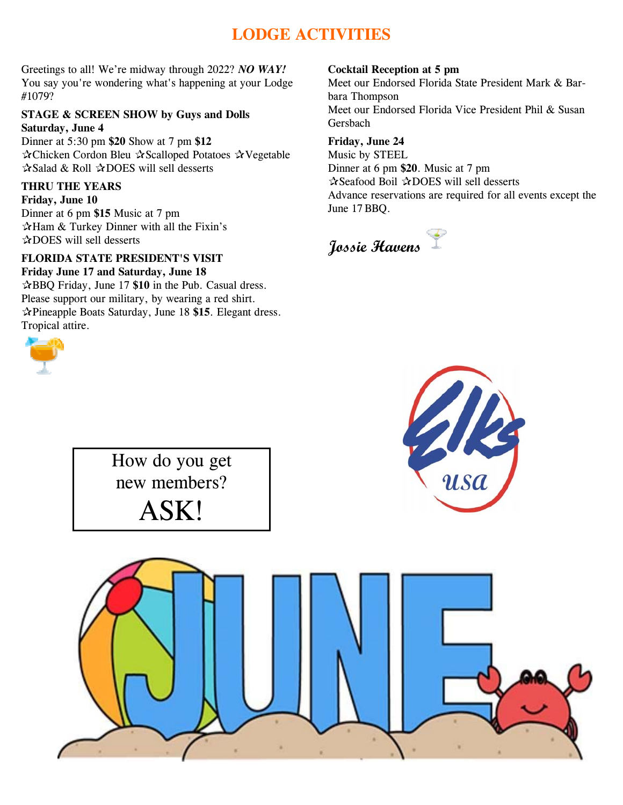# **LODGE ACTIVITIES**

Greetings to all! We're midway through 2022? *NO WAY!* You say you're wondering what's happening at your Lodge #1079?

#### **STAGE & SCREEN SHOW by Guys and Dolls Saturday, June 4**

Dinner at 5:30 pm **\$20** Show at 7 pm **\$12** ✰Chicken Cordon Bleu ✰Scalloped Potatoes ✰Vegetable ✰Salad & Roll ✰DOES will sell desserts

#### **THRU THE YEARS**

**Friday, June 10** Dinner at 6 pm **\$15** Music at 7 pm ✰Ham & Turkey Dinner with all the Fixin's ✰DOES will sell desserts

#### **FLORIDA STATE PRESIDENT'S VISIT**

**Friday June 17 and Saturday, June 18** ✰BBQ Friday, June 17 **\$10** in the Pub. Casual dress. Please support our military, by wearing a red shirt. ✰Pineapple Boats Saturday, June 18 **\$15**. Elegant dress. Tropical attire.



#### **Cocktail Reception at 5 pm**

Meet our Endorsed Florida State President Mark & Barbara Thompson Meet our Endorsed Florida Vice President Phil & Susan Gersbach

#### **Friday, June 24**

Music by STEEL Dinner at 6 pm **\$20**. Music at 7 pm ✰Seafood Boil ✰DOES will sell desserts Advance reservations are required for all events except the June 17 BBQ.

# **Jossie Havens**



ASK!